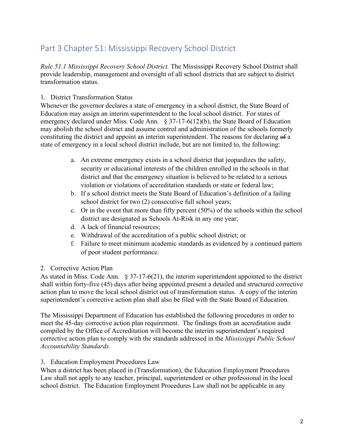## Part 3 Chapter 51: Mississippi Recovery School District

*Rule 51.1 Mississippi Recovery School District.* The Mississippi Recovery School District shall provide leadership, management and oversight of all school districts that are subject to district transformation status.

## 1. District Transformation Status

Whenever the governor declares a state of emergency in a school district, the State Board of Education may assign an interim superintendent to the local school district. For states of emergency declared under Miss. Code Ann. § 37-17-6(12)(b), the State Board of Education may abolish the school district and assume control and administration of the schools formerly constituting the district and appoint an interim superintendent. The reasons for declaring of a state of emergency in a local school district include, but are not limited to, the following:

- a. An extreme emergency exists in a school district that jeopardizes the safety, security or educational interests of the children enrolled in the schools in that district and that the emergency situation is believed to be related to a serious violation or violations of accreditation standards or state or federal law;
- b. If a school district meets the State Board of Education's definition of a failing school district for two (2) consecutive full school years;
- c. Or in the event that more than fifty percent (50%) of the schools within the school district are designated as Schools At-Risk in any one year;
- d. A lack of financial resources;
- e. Withdrawal of the accreditation of a public school district; or
- f. Failure to meet minimum academic standards as evidenced by a continued pattern of poor student performance.

## 2. Corrective Action Plan

As stated in Miss. Code Ann. § 37-17-6(21), the interim superintendent appointed to the district shall within forty-five (45) days after being appointed present a detailed and structured corrective action plan to move the local school district out of transformation status. A copy of the interim superintendent's corrective action plan shall also be filed with the State Board of Education.

The Mississippi Department of Education has established the following procedures in order to meet the 45-day corrective action plan requirement. The findings from an accreditation audit compiled by the Office of Accreditation will become the interim superintendent's required corrective action plan to comply with the standards addressed in the *Mississippi Public School Accountability Standards*.

## 3. Education Employment Procedures Law

When a district has been placed in (Transformation), the Education Employment Procedures Law shall not apply to any teacher, principal, superintendent or other professional in the local school district. The Education Employment Procedures Law shall not be applicable in any